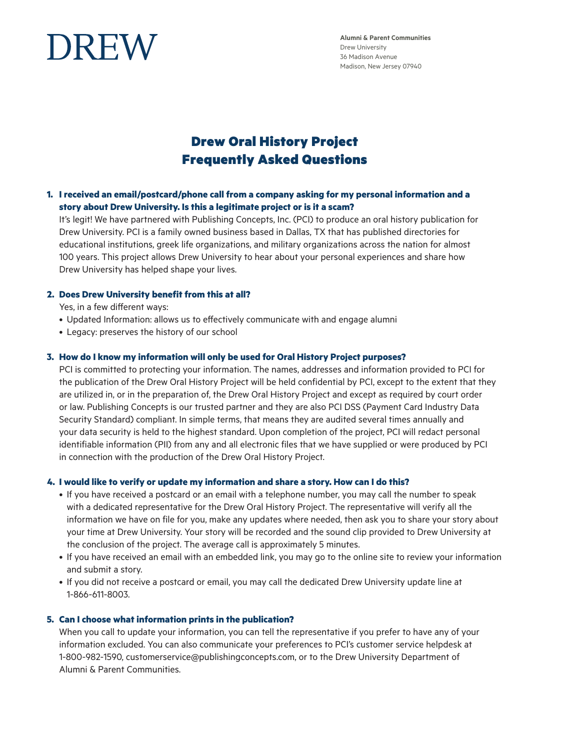

**Alumni & Parent Communities** Drew University 36 Madison Avenue Madison, New Jersey 07940

# Drew Oral History Project Frequently Asked Questions

**1. I received an email/postcard/phone call from a company asking for my personal information and a story about Drew University. Is this a legitimate project or is it a scam?**

 It's legit! We have partnered with Publishing Concepts, Inc. (PCI) to produce an oral history publication for Drew University. PCI is a family owned business based in Dallas, TX that has published directories for educational institutions, greek life organizations, and military organizations across the nation for almost 100 years. This project allows Drew University to hear about your personal experiences and share how Drew University has helped shape your lives.

#### **2. Does Drew University benefit from this at all?**

Yes, in a few different ways:

- Updated Information: allows us to effectively communicate with and engage alumni
- Legacy: preserves the history of our school

#### **3. How do I know my information will only be used for Oral History Project purposes?**

 PCI is committed to protecting your information. The names, addresses and information provided to PCI for the publication of the Drew Oral History Project will be held confidential by PCI, except to the extent that they are utilized in, or in the preparation of, the Drew Oral History Project and except as required by court order or law. Publishing Concepts is our trusted partner and they are also PCI DSS (Payment Card Industry Data Security Standard) compliant. In simple terms, that means they are audited several times annually and your data security is held to the highest standard. Upon completion of the project, PCI will redact personal identifiable information (PII) from any and all electronic files that we have supplied or were produced by PCI in connection with the production of the Drew Oral History Project.

#### **4. I would like to verify or update my information and share a story. How can I do this?**

- If you have received a postcard or an email with a telephone number, you may call the number to speak with a dedicated representative for the Drew Oral History Project. The representative will verify all the information we have on file for you, make any updates where needed, then ask you to share your story about your time at Drew University. Your story will be recorded and the sound clip provided to Drew University at the conclusion of the project. The average call is approximately 5 minutes.
- If you have received an email with an embedded link, you may go to the online site to review your information and submit a story.
- If you did not receive a postcard or email, you may call the dedicated Drew University update line at 1-866-611-8003.

#### **5. Can I choose what information prints in the publication?**

 When you call to update your information, you can tell the representative if you prefer to have any of your information excluded. You can also communicate your preferences to PCI's customer service helpdesk at 1-800-982-1590, customerservice@publishingconcepts.com, or to the Drew University Department of Alumni & Parent Communities.